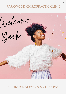# PARKWOOD CHIROPRACTIC CLINIC



# CLINIC RE-OPENING MANIFESTO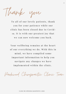Thank you

To all of our lovely patients, thank you for your patience while our clinic has been closed due to Covid-19. It is with our greatest joy that we can now welcome you back.

Your wellbeing remains at the heart of our everything we do. With this in mind, we have compiled some important information to help you n a vigate any changes we have implemented within the clinic.

Parkwood Chiropractic Clinic Team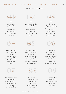## HOW WE WILL MANAGE YOUR FACE TO FACE APPOINTMENT

### THE PRACTITIONER'S PROMISE

Assessmer Assessment ssessm inent ent

Our team has performed a detailed risk assessment specifically to reduce the spread of Covid-19.

Care Care  $\left(\frac{2}{3}\right)^2$ e

You can expect the same high standard of care from our team. that we will continue to provide for you.

Gafety Safe ty ty

We will wear new disposable masks, gloves and aprons for each appointment. Your safety is our highest priority.

Biligence Dilige ence nce

We will continue with regular and vigilant hand washing routines use hand sanitiser and/or disposable gloves when necessary.

forms

New patient forms will be either emailed or you can fill them in online. To reduce contamination.

Hygiene Hygi ene ene

We will clean and disinfect treatment rooms to high standards between each patient, this includes door handles, reception and washrooms.

Temperature

We will check every patient and staff member's temperature (contactless) upon arrival.

Ventila Ventilation 'entilation dtion tion

The treatment couch will have a disposable couch cover and changed for each patient. The room will be ventilated in between patients.

Declaration

Each patient will be asked to self declare any Covid-19 related symptoms.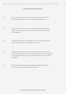### YOUR RESPONSIBILITIES

- Wear a face mask upon arrival. However do not worry if you **O 1** Wear a face mask upon arrival. However do not worry if y have forgotten a face mask. One will be provided for you.
- Please arrive at the correct time of your appointment and not earlier. Therefore you can avoid coming into contact with any O 2 Please arrive at the earlier. Therefore<br>other patients.
- Use the hand sanitiser provided on your way in and out of the O 3 Use the hand sanitiser provided on your way in clinic or immediately wash hands upon arrival.
- 04 Notify the clinic and cancel your appointments if you have any Covid-19 symptoms or have been exposed to anyone who has/had any symptoms in the last 14 days. Please follow the goverment's guidelines.
- Complete self-declaration form either through email, online Form or with your practitioner upon arrival.